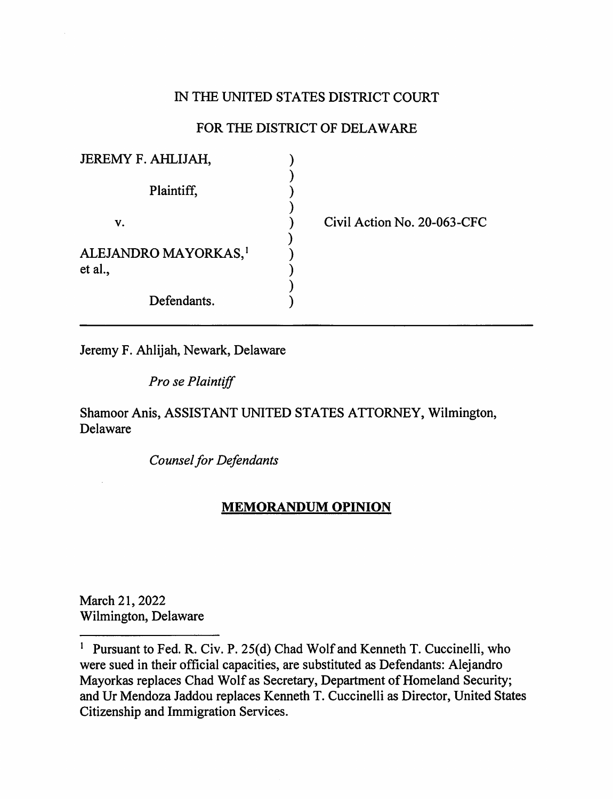# IN THE UNITED STATES DISTRICT COURT

# FOR THE DISTRICT OF DELAWARE

| JEREMY F. AHLIJAH,               |  |
|----------------------------------|--|
|                                  |  |
| Plaintiff,                       |  |
|                                  |  |
| V.                               |  |
| ALEJANDRO MAYORKAS, <sup>1</sup> |  |
| et al.,                          |  |
|                                  |  |
| Defendants.                      |  |

Civil Action No. 20-063-CFC

Jeremy F. Ahlijah, Newark, Delaware

*Prose Plaintiff* 

# Shamoor Anis, ASSISTANT UNITED STATES ATTORNEY, Wilmington, Delaware

*Counsel for Defendants* 

## **MEMORANDUM OPINION**

March 21, 2022 Wilmington, Delaware

<sup>&</sup>lt;sup>1</sup> Pursuant to Fed. R. Civ. P. 25(d) Chad Wolf and Kenneth T. Cuccinelli, who were sued in their official capacities, are substituted as Defendants: Alejandro Mayorkas replaces Chad Wolf as Secretary, Department of Homeland Security; and Ur Mendoza Jaddou replaces Kenneth T. Cuccinelli as Director, United States Citizenship and Immigration Services.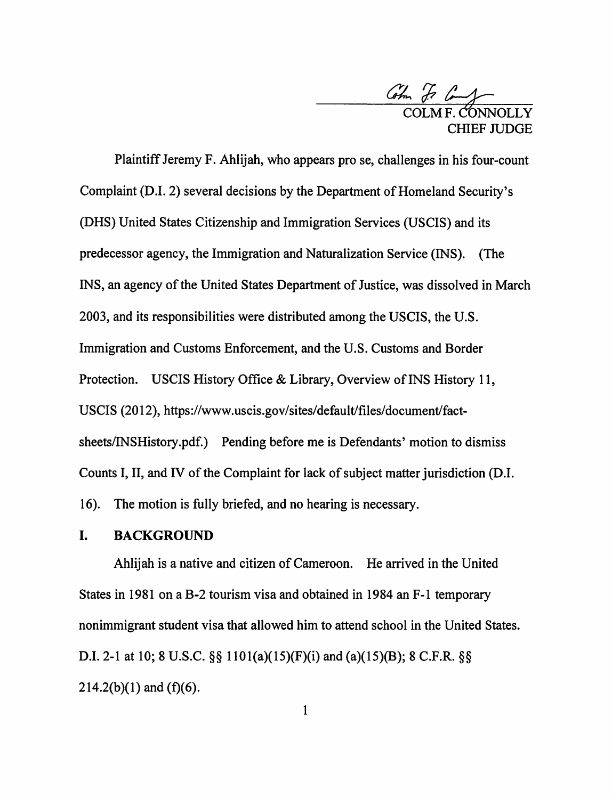

Plaintiff Jeremy F. Ahlijah, who appears prose, challenges in his four-count Complaint (D.I. 2) several decisions by the Department of Homeland Security's (OHS) United States Citizenship and Immigration Services (USCIS) and its predecessor agency, the Immigration and Naturalization Service (INS). {The INS, an agency of the United States Department of Justice, was dissolved in March 2003, and its responsibilities were distributed among the USCIS, the U.S. Immigration and Customs Enforcement, and the U.S. Customs and Border Protection. USCIS History Office & Library, Overview of INS History 11, USCIS (2012), https://www.uscis.gov/sites/default/files/document/factsheets/INSHistory.pdf.) Pending before me is Defendants' motion to dismiss Counts I, II, and IV of the Complaint for lack of subject matter jurisdiction (D.I. 16). The motion is fully briefed, and no hearing is necessary.

### I. **BACKGROUND**

Ahlijah is a native and citizen of Cameroon. He arrived in the United States in 1981 on a B-2 tourism visa and obtained in 1984 an F-1 temporary nonimmigrant student visa that allowed him to attend school in the United States. D.I. 2-1 at 10; 8 U.S.C.  $\S$ § 1101(a)(15)(F)(i) and (a)(15)(B); 8 C.F.R.  $\S$ §  $214.2(b)(1)$  and  $(f)(6)$ .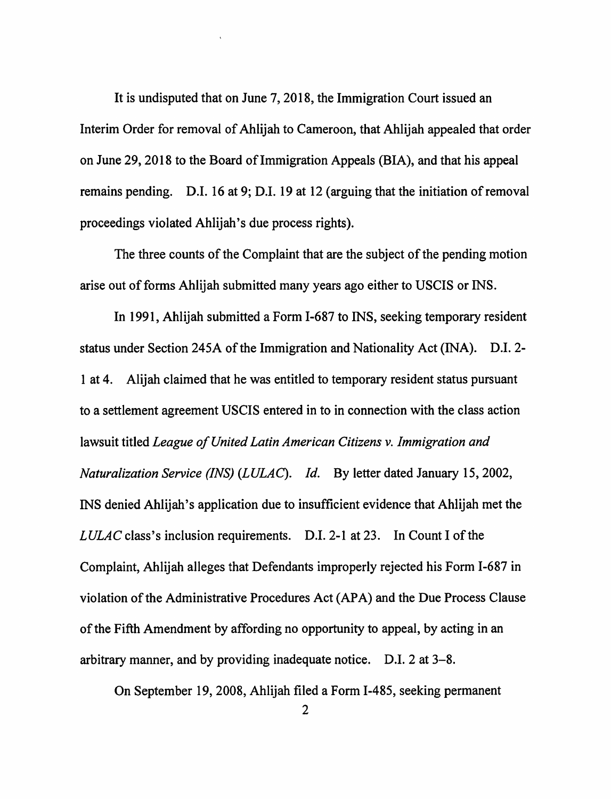It is undisputed that on June 7, 2018, the Immigration Court issued an Interim Order for removal of Ahlijah to Cameroon, that Ahlijah appealed that order on June 29, 2018 to the Board of Immigration Appeals (BIA), and that his appeal remains pending. D.I. 16 at 9; D.I. 19 at 12 (arguing that the initiation of removal proceedings violated Ahlijah's due process rights).

The three counts of the Complaint that are the subject of the pending motion arise out of forms Ahlijah submitted many years ago either to USCIS or INS.

In 1991, Ahlijah submitted a Form 1-687 to INS, seeking temporary resident status under Section 245A of the Immigration and Nationality Act (INA). D.I. 2- 1 at 4. Alijah claimed that he was entitled to temporary resident status pursuant to a settlement agreement USCIS entered in to in connection with the class action lawsuit titled *League of United Latin American Citizens v. Immigration and Naturalization Service (INS) (LULAC). Id.* By letter dated January 15, 2002, INS denied Ahlijah's application due to insufficient evidence that Ahlijah met the *LULAC* class's inclusion requirements. D.I. 2-1 at 23. In Count I of the Complaint, Ahlijah alleges that Defendants improperly rejected his Form 1-687 in violation of the Administrative Procedures Act {AP A) and the Due Process Clause of the Fifth Amendment by affording no opportunity to appeal, by acting in an arbitrary manner, and by providing inadequate notice. D.I. 2 at 3-8.

On September 19, 2008, Ahlijah filed a Form 1-485, seeking permanent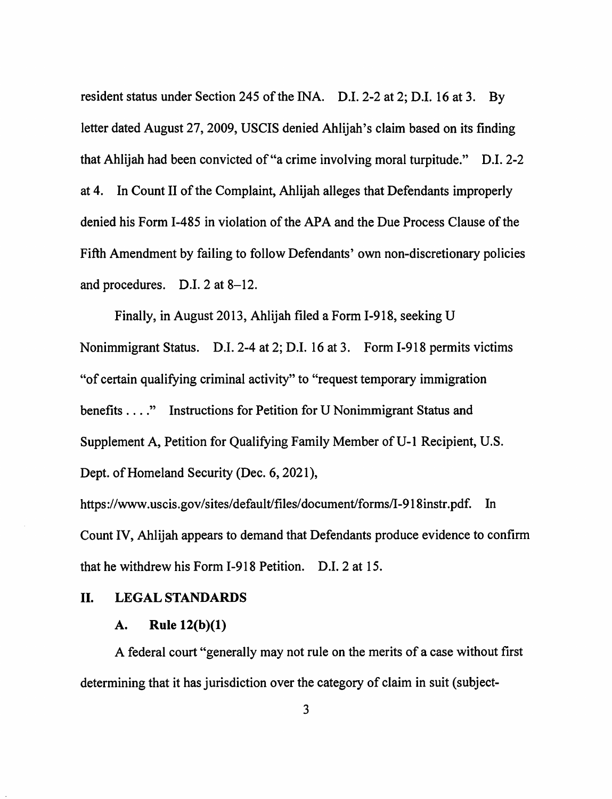resident status under Section 245 of the INA. D.I. 2-2 at 2; D.I. 16 at 3. By letter dated August 27, 2009, USCIS denied Ahlijah's claim based on its finding that Ahlijah had been convicted of"a crime involving moral turpitude." D.I. 2-2 at 4. In Count II of the Complaint, Ahlijah alleges that Defendants improperly denied his Form 1-485 in violation of the APA and the Due Process Clause of the Fifth Amendment by failing to follow Defendants' own non-discretionary policies and procedures. D.I. 2 at 8-12.

Finally, in August 2013, Ahlijah filed a Form 1-918, seeking U Nonimmigrant Status. D.I. 2-4 at 2; D.I. 16 at 3. Form 1-918 permits victims "of certain qualifying criminal activity" to "request temporary immigration benefits .... " Instructions for Petition for U Nonimmigrant Status and Supplement A, Petition for Qualifying Family Member of U-1 Recipient, U.S. Dept. of Homeland Security (Dec. 6, 2021),

https://www.uscis.gov/sites/default/files/document/forms/I-918instr.pdf. In Count IV, Ahlijah appears to demand that Defendants produce evidence to confirm that he withdrew his Form 1-918 Petition. D.I. 2 at 15.

### II. **LEGAL STANDARDS**

#### **A. Rule 12(b)(l)**

A federal court "generally may not rule on the merits of a case without first determining that it has jurisdiction over the category of claim in suit (subject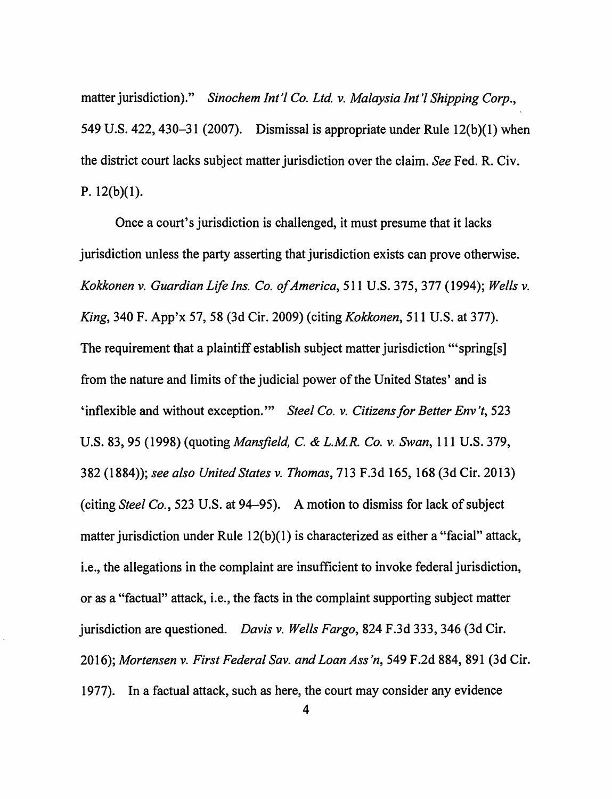matter jurisdiction)." *Sinochem Int'/ Co. Ltd.* v. *Malaysia Int'/ Shipping Corp.,*  549 U.S. 422, 430-31 (2007). Dismissal is appropriate under Rule  $12(b)(1)$  when the district court lacks subject matter jurisdiction over the claim. *See* Fed. R. Civ. P. 12(b)(l).

Once a court's jurisdiction is challenged, it must presume that it lacks jurisdiction unless the party asserting that jurisdiction exists can prove otherwise. *Kokkonen* v. *Guardian Life Ins. Co. of America,* 511 U.S. 375,377 (1994); *Wells* v. *King,* 340 F. App'x 57, 58 (3d Cir. 2009) (citing *Kokkonen,* 511 U.S. at 377). The requirement that a plaintiff establish subject matter jurisdiction "'spring[s] from the nature and limits of the judicial power of the United States' and is 'inflexible and without exception."' *Steel Co.* v. *Citizens for Better Env 't,* 523 U.S. 83, 95 (1998) (quoting *Mansfield, C.* & *L.MR. Co. v. Swan,* 111 U.S. 379, 382 (1884)); *see also United States v. Thomas,* 713 F.3d 165, 168 (3d Cir. 2013) (citing *Steel Co.,* 523 U.S. at 94-95). A motion to dismiss for lack of subject matter jurisdiction under Rule  $12(b)(1)$  is characterized as either a "facial" attack, i.e., the allegations in the complaint are insufficient to invoke federal jurisdiction, or as a "factual" attack, i.e., the facts in the complaint supporting subject matter jurisdiction are questioned. *Davis* v. *Wells Fargo,* 824 F .3d 333, 346 (3d Cir. 2016); *Mortensen* v. *First Federal Sav. and Loan Ass 'n,* 549 F .2d 884, 891 (3d Cir. 1977). In a factual attack, such as here, the court may consider any evidence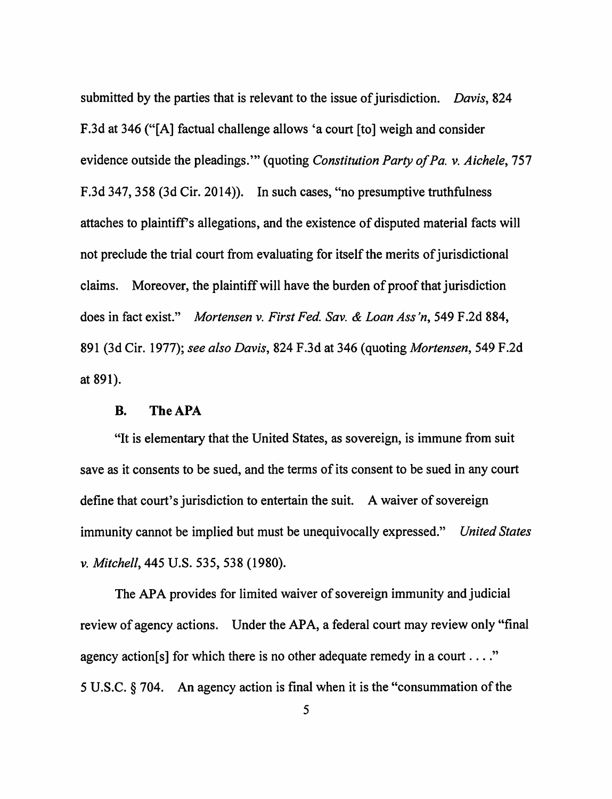submitted by the parties that is relevant to the issue of jurisdiction. *Davis,* 824 F.3d at 346 ("[A] factual challenge allows 'a court [to] weigh and consider evidence outside the pleadings."' (quoting *Constitution Party of Pa. v. Aichele,* 757 F.3d 347,358 (3d Cir. 2014)). In such cases, "no presumptive truthfulness attaches to plaintiffs allegations, and the existence of disputed material facts will not preclude the trial court from evaluating for itself the merits of jurisdictional claims. Moreover, the plaintiff will have the burden of proof that jurisdiction does in fact exist." *Mortensen v. First Fed. Sav. & Loan Ass 'n,* 549 F .2d 884, 891 (3d Cir. 1977); *see also Davis,* 824 F.3d at 346 (quoting *Mortensen,* 549 F.2d at 891).

### **B. TheAPA**

"It is elementary that the United States, as sovereign, is immune from suit save as it consents to be sued, and the terms of its consent to be sued in any court define that court's jurisdiction to entertain the suit. A waiver of sovereign immunity cannot be implied but must be unequivocally expressed." *United States v. Mitchell,* 445 U.S. 535, 538 (1980).

The APA provides for limited waiver of sovereign immunity and judicial review of agency actions. Under the APA, a federal court may review only "final agency action[s] for which there is no other adequate remedy in a court  $\dots$ ." 5 U.S.C. § 704. An agency action is final when it is the "consummation of the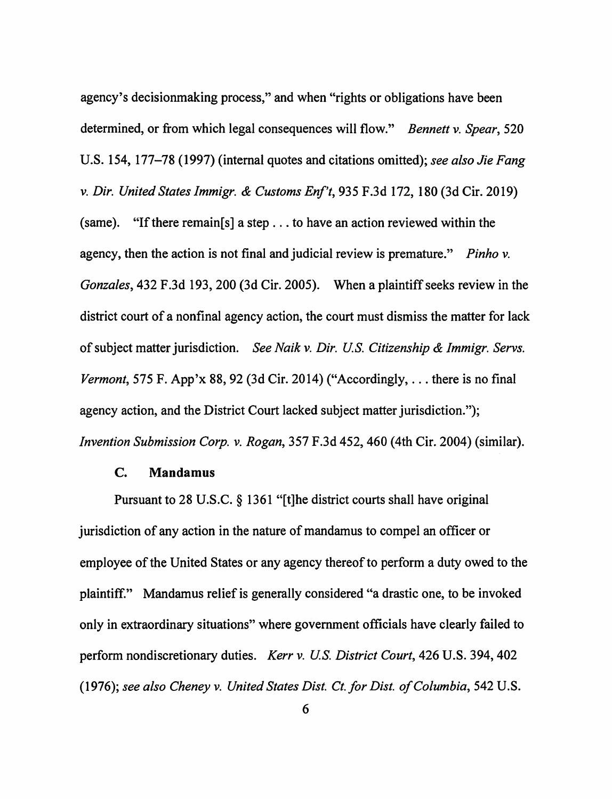agency's decisionmaking process," and when "rights or obligations have been determined, or from which legal consequences will flow." *Bennett v. Spear,* 520 U.S. 154, 177-78 (1997) (internal quotes and citations omitted); *see also Jie Fang v. Dir. United States Immigr. & Customs Enf't,* 935 F .3d 172, 180 (3d Cir. 2019) (same). "If there remain[s] a step  $\dots$  to have an action reviewed within the agency, then the action is not final and judicial review is premature." *Pinho v. Gonzales,* 432 F .3d 193, 200 (3d Cir. 2005). When a plaintiff seeks review in the district court of a nonfinal agency action, the court must dismiss the matter for lack of subject matter jurisdiction. *See Naik v. Dir. US. Citizenship & Immigr. Servs. Vermont,* 575 F. App'x 88, 92 (3d Cir. 2014) ("Accordingly, ... there is no final agency action, and the District Court lacked subject matter jurisdiction."); *Invention Submission Corp. v. Rogan,* 357 F.3d 452,460 (4th Cir. 2004) (similar).

#### **C. Mandamus**

Pursuant to 28 U.S.C. § 1361 "[t]he district courts shall have original jurisdiction of any action in the nature of mandamus to compel an officer or employee of the United States or any agency thereof to perform a duty owed to the plaintiff." Mandamus relief is generally considered "a drastic one, to be invoked only in extraordinary situations" where government officials have clearly failed to perform nondiscretionary duties. *Kerr v. US. District Court,* 426 U.S. 394,402 (1976); *see also Cheney v. United States Dist. Ct.for Dist. of Columbia,* 542 U.S.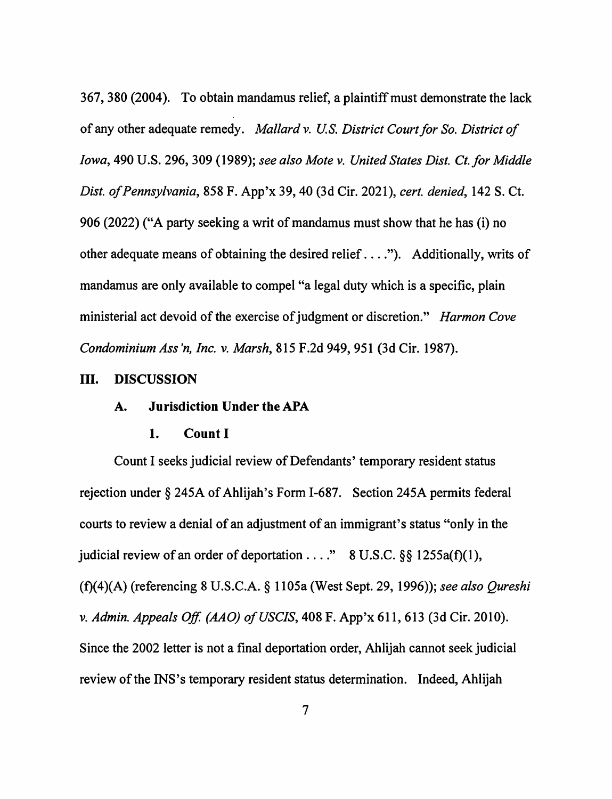367,380 (2004). To obtain mandamus relief, a plaintiff must demonstrate the lack of any other adequate remedy. *Mallard v. U.S. District Court for So. District of Iowa,* 490 U.S. 296,309 (1989); *see also Mote v. United States Dist. Ct.for Middle Dist. of Pennsylvania,* 858 F. App'x 39, 40 (3d Cir. 2021), *cert. denied,* 142 S. Ct. 906 (2022) ("A party seeking a writ of mandamus must show that he has (i) no other adequate means of obtaining the desired relief .... "). Additionally, writs of mandamus are only available to compel "a legal duty which is a specific, plain ministerial act devoid of the exercise of judgment or discretion." *Harmon Cove Condominium Ass 'n, Inc. v. Marsh,* 815 F .2d 949, 951 (3d Cir. 1987).

#### III. **DISCUSSION**

#### **A. Jurisdiction Under the APA**

#### **1. Count** I

Count I seeks judicial review of Defendants' temporary resident status rejection under§ 245A of Ahlijah's Form 1-687. Section 245A permits federal courts to review a denial of an adjustment of an immigrant's status "only in the judicial review of an order of deportation  $\dots$ ." 8 U.S.C. §§ 1255a(f)(1), (f)(4)(A) (referencing 8 U.S.C.A. § 1105a (West Sept. 29, 1996)); *see also Qureshi v. Admin. Appeals Off. (AAO) of USCIS,* 408 F. App'x 611,613 (3d Cir. 2010). Since the 2002 letter is not a final deportation order, Ahlijah cannot seek judicial review of the INS's temporary resident status determination. Indeed, Ahlijah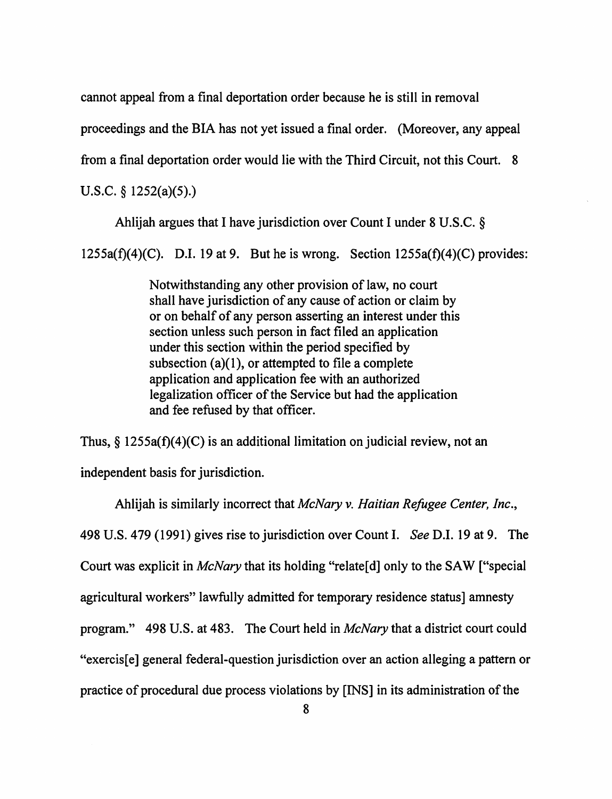cannot appeal from a final deportation order because he is still in removal

proceedings and the BIA has not yet issued a final order. (Moreover, any appeal

from a final deportation order would lie with the Third Circuit, not this Court. 8

U.S.C. § 1252(a)(5).)

Ahlijah argues that I have jurisdiction over Count I under 8 U.S.C. §

 $1255a(f)(4)(C)$ . D.I. 19 at 9. But he is wrong. Section  $1255a(f)(4)(C)$  provides:

Notwithstanding any other provision of law, no court shall have jurisdiction of any cause of action or claim by or on behalf of any person asserting an interest under this section unless such person in fact filed an application under this section within the period specified by subsection  $(a)(1)$ , or attempted to file a complete application and application fee with an authorized legalization officer of the Service but had the application and fee refused by that officer.

Thus,  $\S$  1255a(f)(4)(C) is an additional limitation on judicial review, not an independent basis for jurisdiction.

Ahlijah is similarly incorrect that *McNary v. Haitian Refugee Center, Inc.,*  498 U.S. 479 (1991) gives rise to jurisdiction over Count I. *See* D.I. 19 at 9. The Court was explicit in *McNary* that its holding "relate[ d] only to the SAW ["special agricultural workers" lawfully admitted for temporary residence status] amnesty program." 498 U.S. at 483. The Court held in *McNary* that a district court could "exercis[e] general federal-question jurisdiction over an action alleging a pattern or practice of procedural due process violations by **[INS]** in its administration of the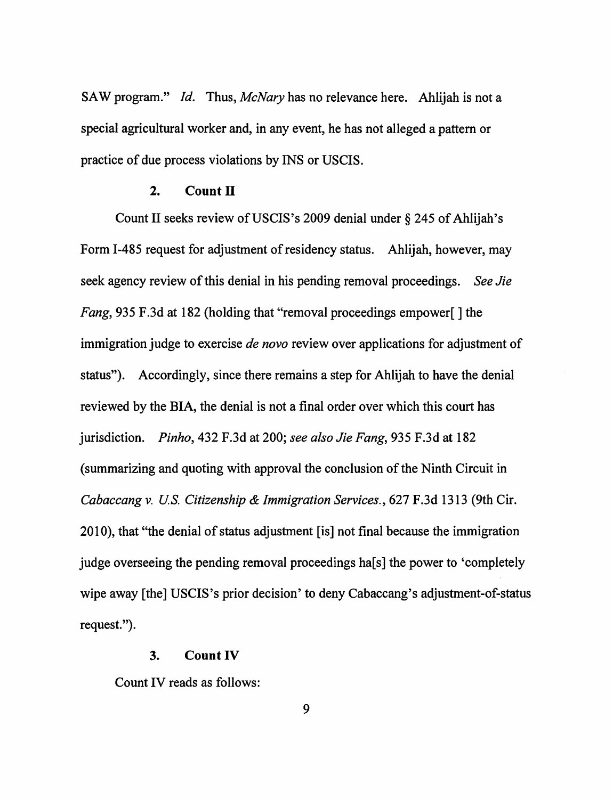SAW program." *Id.* Thus, *McNary* has no relevance here. Ahlijah is not a special agricultural worker and, in any event, he has not alleged a pattern or practice of due process violations by INS or USCIS.

#### **2. Count II**

Count II seeks review of USCIS's 2009 denial under § 245 of Ahlijah's Form I-485 request for adjustment of residency status. Ahlijah, however, may seek agency review of this denial in his pending removal proceedings. *See Jie Fang*, 935 F.3d at 182 (holding that "removal proceedings empower[] the immigration judge to exercise *de novo* review over applications for adjustment of status"). Accordingly, since there remains a step for Ahlijah to have the denial reviewed by the **BIA,** the denial is not a final order over which this court has jurisdiction. *Pinho,* 432 F.3d at 200; *see also Jie Fang,* 935 F.3d at 182 (summarizing and quoting with approval the conclusion of the Ninth Circuit in *Cabaccang v. US. Citizenship* & *Immigration Services.,* 627 F.3d 1313 (9th Cir. 2010), that "the denial of status adjustment [is] not final because the immigration judge overseeing the pending removal proceedings ha[s] the power to 'completely wipe away [the] USCIS's prior decision' to deny Cabaccang's adjustment-of-status request.").

#### **3. Count IV**

Count IV reads as follows: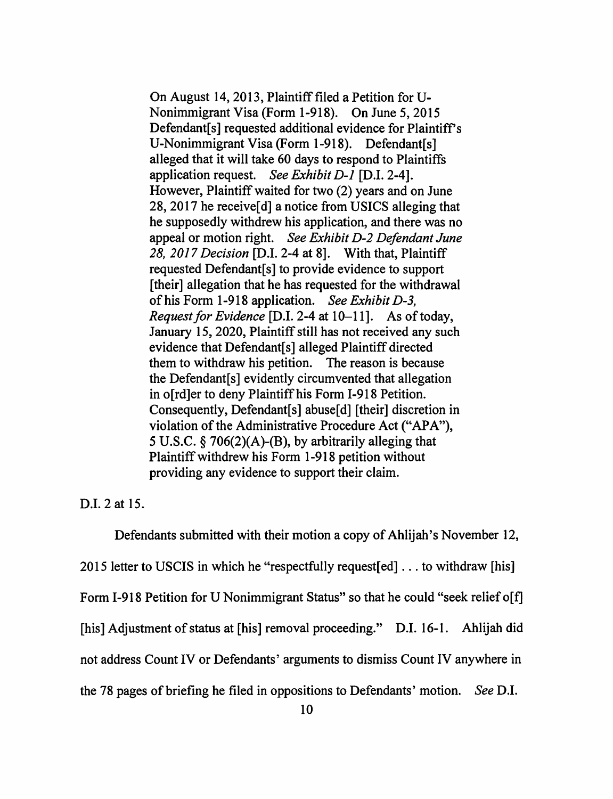On August 14, 2013, Plaintiff filed a Petition for U-Nonimmigrant Visa (Form 1-918). On June 5, 2015 Defendant[s] requested additional evidence for Plaintiff's U-Nonimmigrant Visa (Form 1-918). Defendant[s] alleged that it will take 60 days to respond to Plaintiffs application request. *See Exhibit D-1* [D.I. 2-4]. However, Plaintiff waited for two (2) years and on June 28, 2017 he receive [d] a notice from USICS alleging that he supposedly withdrew his application, and there was no appeal or motion right. *See Exhibit D-2 Defendant June 28, 2017 Decision* [D.I. 2-4 at 8]. With that, Plaintiff requested Defendant[s] to provide evidence to support [their] allegation that he has requested for the withdrawal of his Form 1-918 application. *See Exhibit D-3, Request for Evidence* [D.I. 2-4 at 10-11]. As of today, January 15, 2020, Plaintiff still has not received any such evidence that Defendant [s] alleged Plaintiff directed them to withdraw his petition. The reason is because the Defendant[s] evidently circumvented that allegation in o[rd]er to deny Plaintiff his Form 1-918 Petition. Consequently, Defendant[s] abuse[d] [their] discretion in violation of the Administrative Procedure Act ("APA"), 5 U.S.C. § 706(2)(A)-(B), by arbitrarily alleging that Plaintiff withdrew his Form 1-918 petition without providing any evidence to support their claim.

D.I. 2 at 15.

Defendants submitted with their motion a copy of Ahlijah's November 12, 2015 letter to USCIS in which he "respectfully request  $[ed] \ldots$  to withdraw  $[his]$ Form 1-918 Petition for U Nonimmigrant Status" so that he could "seek relief o[f] [his] Adjustment of status at [his] removal proceeding." D.I. 16-1. Ahlijah did not address Count IV or Defendants' arguments to dismiss Count IV anywhere in the 78 pages of briefing he filed in oppositions to Defendants' motion. *See* D.I.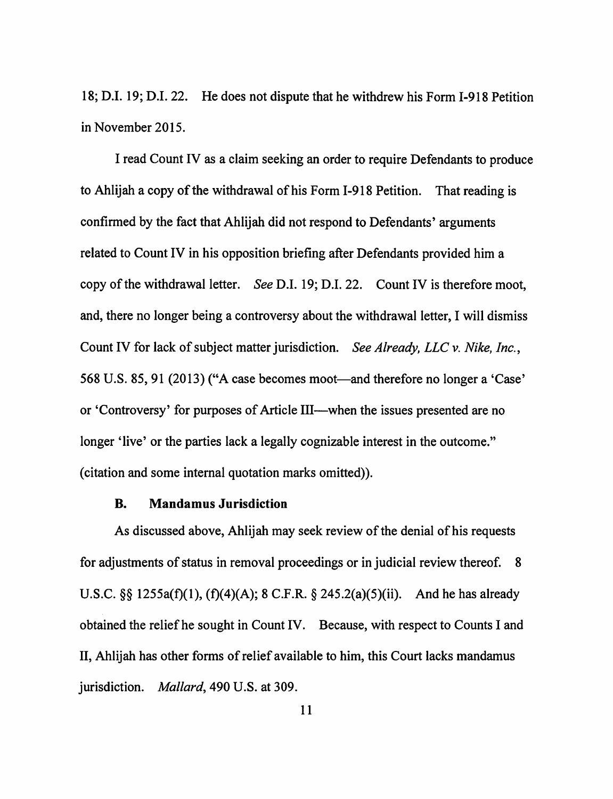18; D.I. 19; D.I. 22. He does not dispute that he withdrew his Form 1-918 Petition in November 2015.

I read Count IV as a claim seeking an order to require Defendants to produce to Ahlijah a copy of the withdrawal of his Form 1-918 Petition. That reading is confirmed by the fact that Ahlijah did not respond to Defendants' arguments related to Count IV in his opposition briefing after Defendants provided him a copy of the withdrawal letter. *See* D.I. 19; D.I. 22. Count IV is therefore moot, and, there no longer being a controversy about the withdrawal letter, I will dismiss Count IV for lack of subject matter jurisdiction. *See Already, LLC v. Nike, Inc.,*  568 U.S. 85, 91 (2013) ("A case becomes moot—and therefore no longer a 'Case' or 'Controversy' for purposes of Article III-when the issues presented are no longer 'live' or the parties lack a legally cognizable interest in the outcome." ( citation and some internal quotation marks omitted)).

#### **B. Mandamus Jurisdiction**

As discussed above, Ahlijah may seek review of the denial of his requests for adjustments of status in removal proceedings or in judicial review thereof. 8 U.S.C.  $\S$ § 1255a(f)(1), (f)(4)(A); 8 C.F.R. § 245.2(a)(5)(ii). And he has already obtained the relief he sought in Count IV. Because, with respect to Counts I and II, Ahlijah has other forms of relief available to him, this Court lacks mandamus jurisdiction. *Mallard,* 490 U.S. at 309.